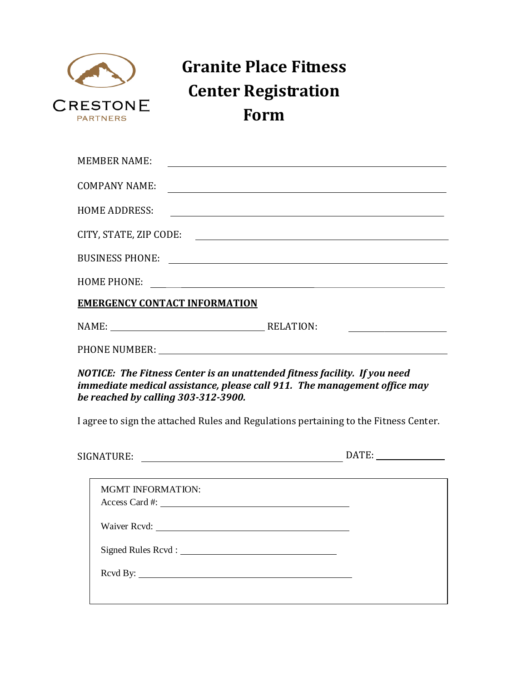

## **Granite Place Fitness Center Registration Form**

| MEMBER NAME:                         |                                                                                                                                                                                                                                |
|--------------------------------------|--------------------------------------------------------------------------------------------------------------------------------------------------------------------------------------------------------------------------------|
| <b>COMPANY NAME:</b>                 |                                                                                                                                                                                                                                |
| <b>HOME ADDRESS:</b>                 |                                                                                                                                                                                                                                |
|                                      | CITY, STATE, ZIP CODE:                                                                                                                                                                                                         |
|                                      |                                                                                                                                                                                                                                |
|                                      |                                                                                                                                                                                                                                |
| <b>EMERGENCY CONTACT INFORMATION</b> |                                                                                                                                                                                                                                |
|                                      | NAME: RELATION:                                                                                                                                                                                                                |
|                                      | PHONE NUMBER: CONSERVANCE OF THE CONSERVANCE OF THE CONSERVANCE OF THE CONSERVANCE OF THE CONSERVANCE OF THE CONSERVANCE OF THE CONSERVANCE OF THE CONSERVANCE OF THE CONSERVANCE OF THE CONSERVANCE OF THE CONSERVANCE OF THE |
| be reached by calling 303-312-3900.  | NOTICE: The Fitness Center is an unattended fitness facility. If you need<br>immediate medical assistance, please call 911. The management office may                                                                          |
|                                      | I agree to sign the attached Rules and Regulations pertaining to the Fitness Center.                                                                                                                                           |

| SIGNATURE: | $\Lambda$ $\mathbf{T}$ |  |
|------------|------------------------|--|
|            |                        |  |

| <b>MGMT INFORMATION:</b> |  |
|--------------------------|--|
|                          |  |
|                          |  |
|                          |  |
|                          |  |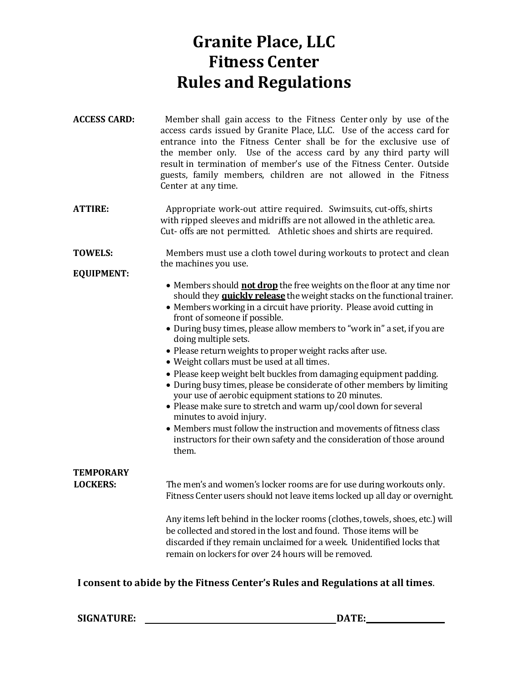## **Granite Place, LLC Fitness Center Rules and Regulations**

**ACCESS CARD:**  Member shall gain access to the Fitness Center only by use of the access cards issued by Granite Place, LLC. Use of the access card for entrance into the Fitness Center shall be for the exclusive use of the member only. Use of the access card by any third party will result in termination of member's use of the Fitness Center. Outside guests, family members, children are not allowed in the Fitness Center at any time.

**ATTIRE:**  Appropriate work-out attire required. Swimsuits, cut-offs, shirts with ripped sleeves and midriffs are not allowed in the athletic area. Cut- offs are not permitted. Athletic shoes and shirts are required.

**TOWELS:**  Members must use a cloth towel during workouts to protect and clean the machines you use.

**EQUIPMENT:**

- Members should **not drop** the free weights on the floor at any time nor should they **quickly release** the weight stacks on the functional trainer.
- Members working in a circuit have priority. Please avoid cutting in front of someone if possible.
- Please return weights to proper weight racks after use.
- Weight collars must be used at all times.
- Please keep weight belt buckles from damaging equipment padding.
- During busy times, please be considerate of other members by limiting your use of aerobic equipment stations to 20 minutes.
- Please make sure to stretch and warm up/cool down for several minutes to avoid injury.
- Members must follow the instruction and movements of fitness class instructors for their own safety and the consideration of those around them.

| <b>TEMPORARY</b> | The men's and women's locker rooms are for use during workouts only.                                                                                                                                                                                                                  |
|------------------|---------------------------------------------------------------------------------------------------------------------------------------------------------------------------------------------------------------------------------------------------------------------------------------|
| <b>LOCKERS:</b>  | Fitness Center users should not leave items locked up all day or overnight.                                                                                                                                                                                                           |
|                  | Any items left behind in the locker rooms (clothes, towels, shoes, etc.) will<br>be collected and stored in the lost and found. Those items will be<br>discarded if they remain unclaimed for a week. Unidentified locks that<br>remain on lockers for over 24 hours will be removed. |

## **I consent to abide by the Fitness Center's Rules and Regulations at all times**.

**SIGNATURE: DATE:**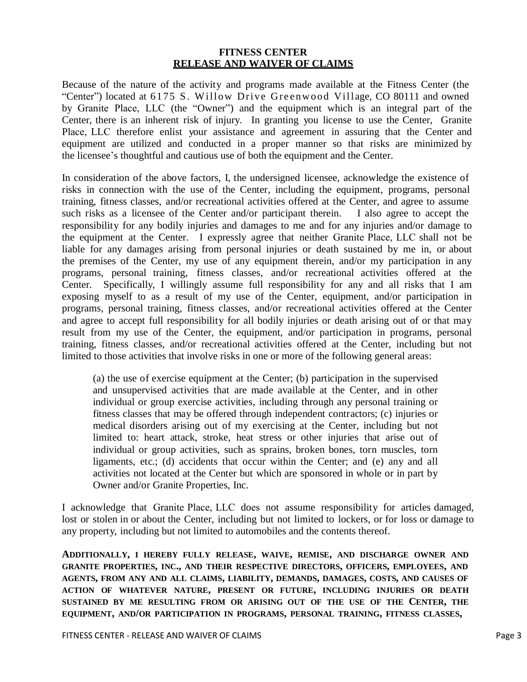## **FITNESS CENTER RELEASE AND WAIVER OF CLAIMS**

Because of the nature of the activity and programs made available at the Fitness Center (the "Center") located at 6175 S. Willow Drive Greenwood Village, CO 80111 and owned by Granite Place, LLC (the "Owner") and the equipment which is an integral part of the Center, there is an inherent risk of injury. In granting you license to use the Center, Granite Place, LLC therefore enlist your assistance and agreement in assuring that the Center and equipment are utilized and conducted in a proper manner so that risks are minimized by the licensee's thoughtful and cautious use of both the equipment and the Center.

In consideration of the above factors, I, the undersigned licensee, acknowledge the existence of risks in connection with the use of the Center, including the equipment, programs, personal training, fitness classes, and/or recreational activities offered at the Center, and agree to assume such risks as a licensee of the Center and/or participant therein. I also agree to accept the responsibility for any bodily injuries and damages to me and for any injuries and/or damage to the equipment at the Center. I expressly agree that neither Granite Place, LLC shall not be liable for any damages arising from personal injuries or death sustained by me in, or about the premises of the Center, my use of any equipment therein, and/or my participation in any programs, personal training, fitness classes, and/or recreational activities offered at the Center. Specifically, I willingly assume full responsibility for any and all risks that I am exposing myself to as a result of my use of the Center, equipment, and/or participation in programs, personal training, fitness classes, and/or recreational activities offered at the Center and agree to accept full responsibility for all bodily injuries or death arising out of or that may result from my use of the Center, the equipment, and/or participation in programs, personal training, fitness classes, and/or recreational activities offered at the Center, including but not limited to those activities that involve risks in one or more of the following general areas:

(a) the use of exercise equipment at the Center; (b) participation in the supervised and unsupervised activities that are made available at the Center, and in other individual or group exercise activities, including through any personal training or fitness classes that may be offered through independent contractors; (c) injuries or medical disorders arising out of my exercising at the Center, including but not limited to: heart attack, stroke, heat stress or other injuries that arise out of individual or group activities, such as sprains, broken bones, torn muscles, torn ligaments, etc.; (d) accidents that occur within the Center; and (e) any and all activities not located at the Center but which are sponsored in whole or in part by Granite Place, LLC.

I acknowledge that Granite Place, LLC does not assume responsibility for articles damaged, lost or stolen in or about the Center, including but not limited to lockers, or for loss or damage to any property, including but not limited to automobiles and the contents thereof.

**ADDITIONALLY, I HEREBY FULLY RELEASE, WAIVE, REMISE, AND DISCHARGE GRANITE PLACE, LLC AND THEIR RESPECTIVE DIRECTORS, OFFICERS, EMPLOYEES, AND AGENTS, FROM ANY AND ALL CLAIMS, LIABILITY, DEMANDS, DAMAGES, COSTS, AND CAUSES OF ACTION OF WHATEVER NATURE, PRESENT OR FUTURE, INCLUDING INJURIES OR DEATH SUSTAINED BY ME RESULTING FROM OR ARISING OUT OF THE USE OF THE CENTER, THE EQUIPMENT, AND/OR PARTICIPATION IN PROGRAMS, PERSONAL TRAINING, FITNESS CLASSES,**